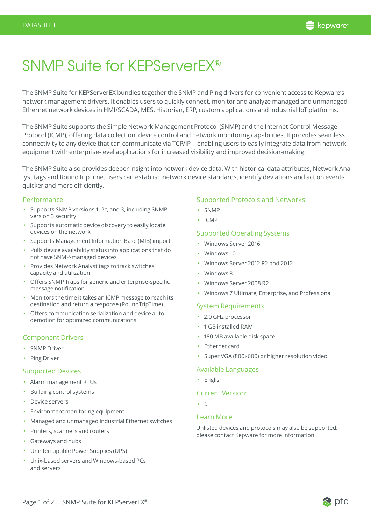

# SNMP Suite for KEPServerEX®

The SNMP Suite for KEPServerEX bundles together the SNMP and Ping drivers for convenient access to Kepware's network management drivers. It enables users to quickly connect, monitor and analyze managed and unmanaged Ethernet network devices in HMI/SCADA, MES, Historian, ERP, custom applications and industrial IoT platforms.

The SNMP Suite supports the Simple Network Management Protocol (SNMP) and the Internet Control Message Protocol (ICMP), offering data collection, device control and network monitoring capabilities. It provides seamless connectivity to any device that can communicate via TCP/IP—enabling users to easily integrate data from network equipment with enterprise-level applications for increased visibility and improved decision-making.

The SNMP Suite also provides deeper insight into network device data. With historical data attributes, Network Analyst tags and RoundTripTime, users can establish network device standards, identify deviations and act on events quicker and more efficiently.

#### Performance

- Supports SNMP versions 1, 2c, and 3, including SNMP version 3 security
- Supports automatic device discovery to easily locate devices on the network
- Supports Management Information Base (MIB) import
- Pulls device availability status into applications that do not have SNMP-managed devices
- Provides Network Analyst tags to track switches' capacity and utilization
- Offers SNMP Traps for generic and enterprise-specific message notification
- Monitors the time it takes an ICMP message to reach its destination and return a response (RoundTripTime)
- Offers communication serialization and device autodemotion for optimized communications

## Component Drivers

- SNMP Driver
- Ping Driver

#### Supported Devices

- Alarm management RTUs
- Building control systems
- Device servers
- Environment monitoring equipment
- Managed and unmanaged industrial Ethernet switches
- Printers, scanners and routers
- Gateways and hubs
- Uninterruptible Power Supplies (UPS)
- Unix-based servers and Windows-based PCs and servers

## Supported Protocols and Networks

- SNMP
- ICMP

## Supported Operating Systems

- Windows Server 2016
- Windows 10
- Windows Server 2012 R2 and 2012
- Windows 8
- Windows Server 2008 R2
- Windows 7 Ultimate, Enterprise, and Professional

## System Requirements

- 2.0 GHz processor
- 1 GB installed RAM
- 180 MB available disk space
- Ethernet card
- Super VGA (800x600) or higher resolution video

#### Available Languages

• English

#### Current Version:

• 6

#### Learn More

Unlisted devices and protocols may also be supported; please contact Kepware for more information.